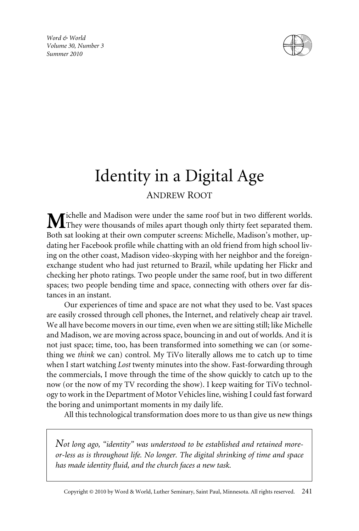*Word & World Volume 30, Number 3 Summer 2010*



# Identity in a Digital Age ANDREW ROOT

ichelle and Madison were under the same roof but in two different worlds. They were thousands of miles apart though only thirty feet separated them. Both sat looking at their own computer screens: Michelle, Madison's mother, updating her Facebook profile while chatting with an old friend from high school living on the other coast, Madison video-skyping with her neighbor and the foreignexchange student who had just returned to Brazil, while updating her Flickr and checking her photo ratings. Two people under the same roof, but in two different spaces; two people bending time and space, connecting with others over far distances in an instant.

Our experiences of time and space are not what they used to be. Vast spaces are easily crossed through cell phones, the Internet, and relatively cheap air travel. We all have become movers in our time, even when we are sitting still; like Michelle and Madison, we are moving across space, bouncing in and out of worlds. And it is not just space; time, too, has been transformed into something we can (or something we *think* we can) control. My TiVo literally allows me to catch up to time when I start watching *Lost* twenty minutes into the show. Fast-forwarding through the commercials, I move through the time of the show quickly to catch up to the now (or the now of my TV recording the show). I keep waiting for TiVo technology to work in the Department of Motor Vehicles line, wishing I could fast forward the boring and unimportant moments in my daily life.

All this technological transformation does more to us than give us new things

*Not long ago, "identity" was understood to be established and retained moreor-less as is throughout life. No longer. The digital shrinking of time and space has made identity fluid, and the church faces a new task.*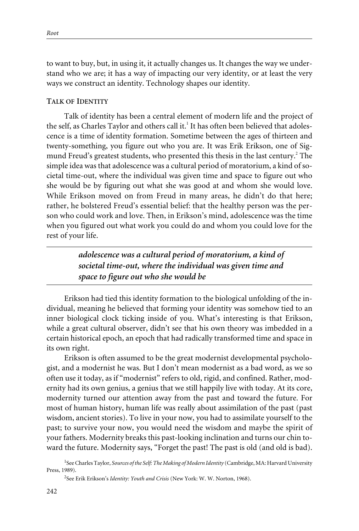to want to buy, but, in using it, it actually changes us. It changes the way we understand who we are; it has a way of impacting our very identity, or at least the very ways we construct an identity. Technology shapes our identity.

### **TALK OF IDENTITY**

Talk of identity has been a central element of modern life and the project of the self, as Charles Taylor and others call it.<sup>1</sup> It has often been believed that adolescence is a time of identity formation. Sometime between the ages of thirteen and twenty-something, you figure out who you are. It was Erik Erikson, one of Sigmund Freud's greatest students, who presented this thesis in the last century.<sup>2</sup> The simple idea was that adolescence was a cultural period of moratorium, a kind of societal time-out, where the individual was given time and space to figure out who she would be by figuring out what she was good at and whom she would love. While Erikson moved on from Freud in many areas, he didn't do that here; rather, he bolstered Freud's essential belief: that the healthy person was the person who could work and love. Then, in Erikson's mind, adolescence was the time when you figured out what work you could do and whom you could love for the rest of your life.

> *adolescence was a cultural period of moratorium, a kind of societal time-out, where the individual was given time and space to figure out who she would be*

Erikson had tied this identity formation to the biological unfolding of the individual, meaning he believed that forming your identity was somehow tied to an inner biological clock ticking inside of you. What's interesting is that Erikson, while a great cultural observer, didn't see that his own theory was imbedded in a certain historical epoch, an epoch that had radically transformed time and space in its own right.

Erikson is often assumed to be the great modernist developmental psychologist, and a modernist he was. But I don't mean modernist as a bad word, as we so often use it today, as if "modernist" refers to old, rigid, and confined. Rather, modernity had its own genius, a genius that we still happily live with today. At its core, modernity turned our attention away from the past and toward the future. For most of human history, human life was really about assimilation of the past (past wisdom, ancient stories). To live in your now, you had to assimilate yourself to the past; to survive your now, you would need the wisdom and maybe the spirit of your fathers. Modernity breaks this past-looking inclination and turns our chin toward the future. Modernity says, "Forget the past! The past is old (and old is bad).

<sup>&</sup>lt;sup>1</sup>See Charles Taylor, *Sources of the Self: The Making of Modern Identity* (Cambridge, MA: Harvard University Press, 1989).

<sup>2</sup> See Erik Erikson's *Identity: Youth and Crisis* (New York: W. W. Norton, 1968).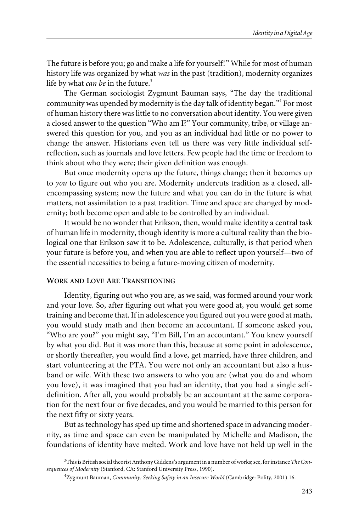The future is before you; go and make a life for yourself!" While for most of human history life was organized by what *was* in the past (tradition), modernity organizes life by what *can be* in the future.<sup>3</sup>

The German sociologist Zygmunt Bauman says, "The day the traditional community was upended by modernity is the day talk of identity began."4 For most of human history there was little to no conversation about identity. You were given a closed answer to the question "Who am I?" Your community, tribe, or village answered this question for you, and you as an individual had little or no power to change the answer. Historians even tell us there was very little individual selfreflection, such as journals and love letters. Few people had the time or freedom to think about who they were; their given definition was enough.

But once modernity opens up the future, things change; then it becomes up to *you* to figure out who you are. Modernity undercuts tradition as a closed, allencompassing system; now the future and what you can do in the future is what matters, not assimilation to a past tradition. Time and space are changed by modernity; both become open and able to be controlled by an individual.

It would be no wonder that Erikson, then, would make identity a central task of human life in modernity, though identity is more a cultural reality than the biological one that Erikson saw it to be. Adolescence, culturally, is that period when your future is before you, and when you are able to reflect upon yourself—two of the essential necessities to being a future-moving citizen of modernity.

## **WORK AND LOVE ARE TRANSITIONING**

Identity, figuring out who you are, as we said, was formed around your work and your love. So, after figuring out what you were good at, you would get some training and become that. If in adolescence you figured out you were good at math, you would study math and then become an accountant. If someone asked you, "Who are you?" you might say, "I'm Bill, I'm an accountant." You knew yourself by what you did. But it was more than this, because at some point in adolescence, or shortly thereafter, you would find a love, get married, have three children, and start volunteering at the PTA. You were not only an accountant but also a husband or wife. With these two answers to who you are (what you do and whom you love), it was imagined that you had an identity, that you had a single selfdefinition. After all, you would probably be an accountant at the same corporation for the next four or five decades, and you would be married to this person for the next fifty or sixty years.

But as technology has sped up time and shortened space in advancing modernity, as time and space can even be manipulated by Michelle and Madison, the foundations of identity have melted. Work and love have not held up well in the

<sup>3</sup> This is British social theorist Anthony Giddens's argument in a number of works; see, for instance *The Consequences of Modernity* (Stanford, CA: Stanford University Press, 1990).

<sup>4</sup> Zygmunt Bauman, *Community: Seeking Safety in an Insecure World* (Cambridge: Polity, 2001) 16.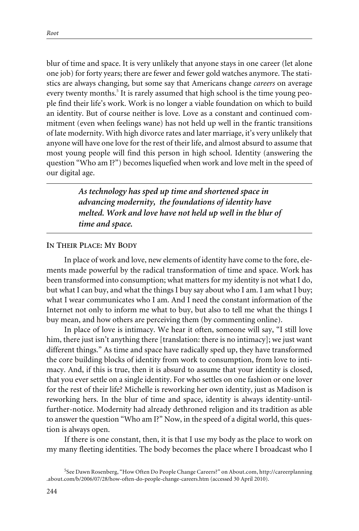blur of time and space. It is very unlikely that anyone stays in one career (let alone one job) for forty years; there are fewer and fewer gold watches anymore. The statistics are always changing, but some say that Americans change *careers* on average every twenty months.<sup>5</sup> It is rarely assumed that high school is the time young people find their life's work. Work is no longer a viable foundation on which to build an identity. But of course neither is love. Love as a constant and continued commitment (even when feelings wane) has not held up well in the frantic transitions of late modernity. With high divorce rates and later marriage, it's very unlikely that anyone will have one love for the rest of their life, and almost absurd to assume that most young people will find this person in high school. Identity (answering the question "Who am I?") becomes liquefied when work and love melt in the speed of our digital age.

> *As technology has sped up time and shortened space in advancing modernity, the foundations of identity have melted. Work and love have not held up well in the blur of time and space.*

#### **IN THEIR PLACE: MY BODY**

In place of work and love, new elements of identity have come to the fore, elements made powerful by the radical transformation of time and space. Work has been transformed into consumption; what matters for my identity is not what I do, but what I can buy, and what the things I buy say about who I am. I am what I buy; what I wear communicates who I am. And I need the constant information of the Internet not only to inform me what to buy, but also to tell me what the things I buy mean, and how others are perceiving them (by commenting online).

In place of love is intimacy. We hear it often, someone will say, "I still love him, there just isn't anything there [translation: there is no intimacy]; we just want different things." As time and space have radically sped up, they have transformed the core building blocks of identity from work to consumption, from love to intimacy. And, if this is true, then it is absurd to assume that your identity is closed, that you ever settle on a single identity. For who settles on one fashion or one lover for the rest of their life? Michelle is reworking her own identity, just as Madison is reworking hers. In the blur of time and space, identity is always identity-untilfurther-notice. Modernity had already dethroned religion and its tradition as able to answer the question "Who am I?" Now, in the speed of a digital world, this question is always open.

If there is one constant, then, it is that I use my body as the place to work on my many fleeting identities. The body becomes the place where I broadcast who I

<sup>5</sup> See Dawn Rosenberg, "How Often Do People Change Careers?" on About.com, http://careerplanning .about.com/b/2006/07/28/how-often-do-people-change-careers.htm (accessed 30 April 2010).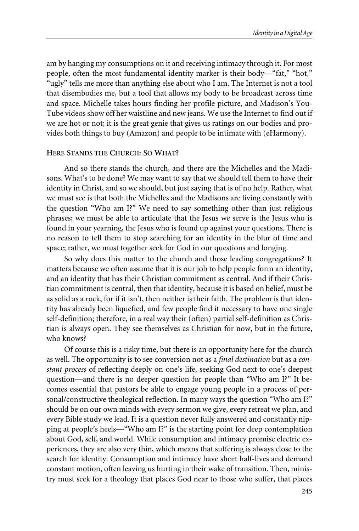am by hanging my consumptions on it and receiving intimacy through it. For most people, often the most fundamental identity marker is their body—"fat," "hot," "ugly" tells me more than anything else about who I am. The Internet is not a tool that disembodies me, but a tool that allows my body to be broadcast across time and space. Michelle takes hours finding her profile picture, and Madison's You-Tube videos show off her waistline and new jeans. We use the Internet to find out if we are hot or not; it is the great genie that gives us ratings on our bodies and provides both things to buy (Amazon) and people to be intimate with (eHarmony).

## **HERE STANDS THE CHURCH: SO WHAT?**

And so there stands the church, and there are the Michelles and the Madisons. What's to be done? We may want to say that we should tell them to have their identity in Christ, and so we should, but just saying that is of no help. Rather, what we must see is that both the Michelles and the Madisons are living constantly with the question "Who am I?" We need to say something other than just religious phrases; we must be able to articulate that the Jesus we serve is the Jesus who is found in your yearning, the Jesus who is found up against your questions. There is no reason to tell them to stop searching for an identity in the blur of time and space; rather, we must together seek for God in our questions and longing.

So why does this matter to the church and those leading congregations? It matters because we often assume that it is our job to help people form an identity, and an identity that has their Christian commitment as central. And if their Christian commitment is central, then that identity, because it is based on belief, must be as solid as a rock, for if it isn't, then neither is their faith. The problem is that identity has already been liquefied, and few people find it necessary to have one single self-definition; therefore, in a real way their (often) partial self-definition as Christian is always open. They see themselves as Christian for now, but in the future, who knows?

Of course this is a risky time, but there is an opportunity here for the church as well. The opportunity is to see conversion not as a *final destination* but as a *constant process* of reflecting deeply on one's life, seeking God next to one's deepest question—and there is no deeper question for people than "Who am I?" It becomes essential that pastors be able to engage young people in a process of personal/constructive theological reflection. In many ways the question "Who am I?" should be on our own minds with every sermon we give, every retreat we plan, and every Bible study we lead. It is a question never fully answered and constantly nipping at people's heels—"Who am I?" is the starting point for deep contemplation about God, self, and world. While consumption and intimacy promise electric experiences, they are also very thin, which means that suffering is always close to the search for identity. Consumption and intimacy have short half-lives and demand constant motion, often leaving us hurting in their wake of transition. Then, ministry must seek for a theology that places God near to those who suffer, that places